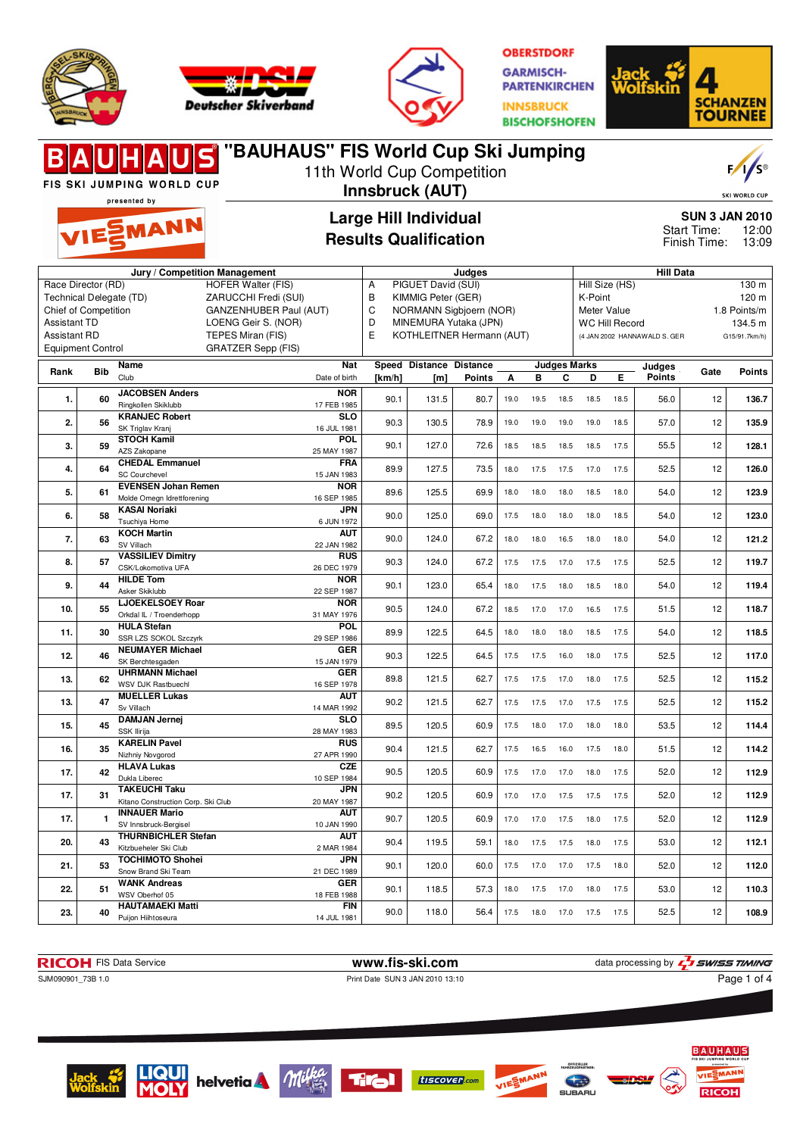





**"BAUHAUS" FIS World Cup Ski Jumping**

**OBERSTDORF GARMISCH-PARTENKIRCHEN INNSBRUCK BISCHOFSHOFEN** 



### $F/I/S^{\circ}$ 11th World Cup Competition FIS SKI JUMPING WORLD CUP **Innsbruck (AUT)** presented by **Large Hill Individual SUN 3 JAN 2010** EMANN Start Time: 12:00 **Results Qualification** Finish Time: 13:09 **Jury / Competition Management Judges Hill Data** Race Director (RD) HOFER Walter (FIS) A PIGUET David (SUI) Hill Size (HS) 130 m Technical Delegate (TD) ZARUCCHI Fredi (SUI) B KIMMIG Peter (GER) K-Point 120 m Chief of Competition GANZENHUBER Paul (AUT) C NORMANN Sigbjoern (NOR)<br>D MINEMURA Yutaka (JPN) Meter Value 1.8 Points/m WC Hill Record 134.5 m Assistant TD LOENG Geir S. (NOR) MINEMURA Yutaka (JPN) E KOTHLEITNER Hermann (AUT) Assistant RD TEPES Miran (FIS) (4 JAN 2002 HANNAWALD S. GER G15/91.7km/h) Equipment Control GRATZER Sepp (FIS) **Rank Bib Name Nat Speed Distance Distance Judges Marks Judges Points Gate Points** Club Date of birth **[km/h] Points [m] A B C D E 1. 60 JACOBSEN Anders NOR** 90.1 131.5 80.7 19.0 19.5 18.5 18.5 18.5 56.0 12 **136.7** Ringkollen Skiklubb 17 FEB 1985 **2. 56 KRANJEC Robert SLO** 90.3 130.5 78.9 19.0 19.0 19.0 19.0 18.5 57.0 12 **135.9** SK Triglav Krani 16 JUL 1981 **3. 59 STOCH Kamil POL** 90.1 | 127.0 | 72.6 | 18.5 18.5 18.5 18.5 17.5 | 55.5 **| 12 | 128.1** AZS Zakopane 25 MAY 1987 **4. 64 CHEDAL Emmanuel FRA** 89.9 | 127.5 | 73.5 | 18.0 17.5 17.5 17.0 17.5 | 52.5 | 12 | **126.0** SC Courchevel 15 JAN 1983 **5.** 61 **EVENSEN Johan Remen**<br>Molde Omegn Idrettforening **NOR** 16 SEP 1985 89.6 125.5 69.9 18.0 18.0 18.0 18.5 18.0 54.0 12 123.9 **6. 58 KASAI Noriaki JPN** 90.0 125.0 69.0 17.5 18.0 18.0 18.0 18.5 54.0 12 **123.0** Tsuchiya Home 6 JUN 1972 **7. 63 KOCH Martin AUT** 90.0 124.0 67.2 18.0 18.0 16.5 18.0 18.0 54.0 12 **121.2** SV Villach 22 JAN 1982 **8. 57 VASSILIEV Dimitry RUS** 90.3 124.0 67.2 17.5 17.5 17.0 17.5 17.5 52.5 12 **119.7** CSK/Lokomotiva UFA 26 DEC 1979 **9. 44 HILDE Tom NOR** 90.1 123.0 65.4 18.0 17.5 18.0 18.5 18.0 54.0 12 **119.4** Asker Skiklubb 22 SEP 1987 **10. 55 LJOEKELSOEY Roar NOR** 90.5 | 124.0 | 67.2 | 18.5 17.0 17.0 16.5 17.5 | 51.5 | 12 | **118.7** Orkdal IL / Troenderhopp 31 MAY 1976 **11. 30 HULA Stefan POL** 29 SEP 1986 **89.9 122.5 64.5** 18.0 18.0 18.0 18.5 17.5 54.0 12 **118.5** SSR LZS SOKOL Szczyrk **GER** 12. 46 **NEUMAYER Michael**<br>SK Berchtesgaden 90.3 122.5 64.5 17.5 17.5 16.0 18.0 17.5 52.5 12 **117.0** 15 JAN 1979 **13. 62 UHRMANN Michael GER** 16 SEP 1978 89.8 121.5 62.7 17.5 17.5 17.0 18.0 17.5 52.5 <sup>12</sup> **115.2** WSV DJK Rastbuechl **13. 47 MUELLER Lukas AUT** 90.2 121.5 62.7 17.5 17.5 17.0 17.5 17.5 52.5 12 **115.2** Sv Villach 14 MAR 1992 **15. 45 DAMJAN Jernej SLO** 89.5 120.5 60.9 17.5 18.0 17.0 18.0 18.0 53.5 12 **114.4** SSK Ilirija 28 MAY 1983 **16. 35 KARELIN Pavel RUS** 90.4 121.5 62.7 17.5 16.5 16.0 17.5 18.0 51.5 12 **114.2** Nizhniy Novgorod 27 APR 1990 **17. 42 HLAVA Lukas CZE** 90.5 120.5 60.9 17.5 17.0 17.0 18.0 17.5 52.0 12 **112.9** Dukla Liberec 10 SEP 1984 **17. 31 TAKEUCHI Taku JPN** 90.2 120.5 60.9 17.0 17.0 17.5 17.5 17.5 52.0 12 **112.9** Kitano Construction Corp. Ski Club 20 MAY 1987 **AUT 17.** 1 **INNAUER Mario**<br>SV Innsbruck-Bergisel 90.7 120.5 60.9 17.0 17.0 17.5 18.0 17.5 52.0 12 **112.9** 10 JAN 1990 **20. 43 THURNBICHLER Stefan AUT** 90.4 119.5 59.1 18.0 17.5 17.5 18.0 17.5 53.0 12 **112.1** Kitzbueheler Ski Club 2 MAR 1984 **21. 53 TOCHIMOTO Shohei JPN**<br>21 DEC 1989 21 DEC 1989 90.1 120.0 60.0 17.5 17.0 17.0 17.5 18.0 52.0 <sup>12</sup> **112.0** Snow Brand Ski Team **22. 51 WANK Andreas GER** 90.1 118.5 57.3 18.0 17.5 17.0 18.0 17.5 53.0 12 **110.3** WSV Oberhof 05 18 FEB 1988 **23. 40 HAUTAMAEKI Matti FIN**





Puijon Hiihtoseura



14 JUL 1981





90.0 118.0 56.4 17.5 18.0 17.0 17.5 17.5 52.5 12 **108.9**





SKI WORLD CUR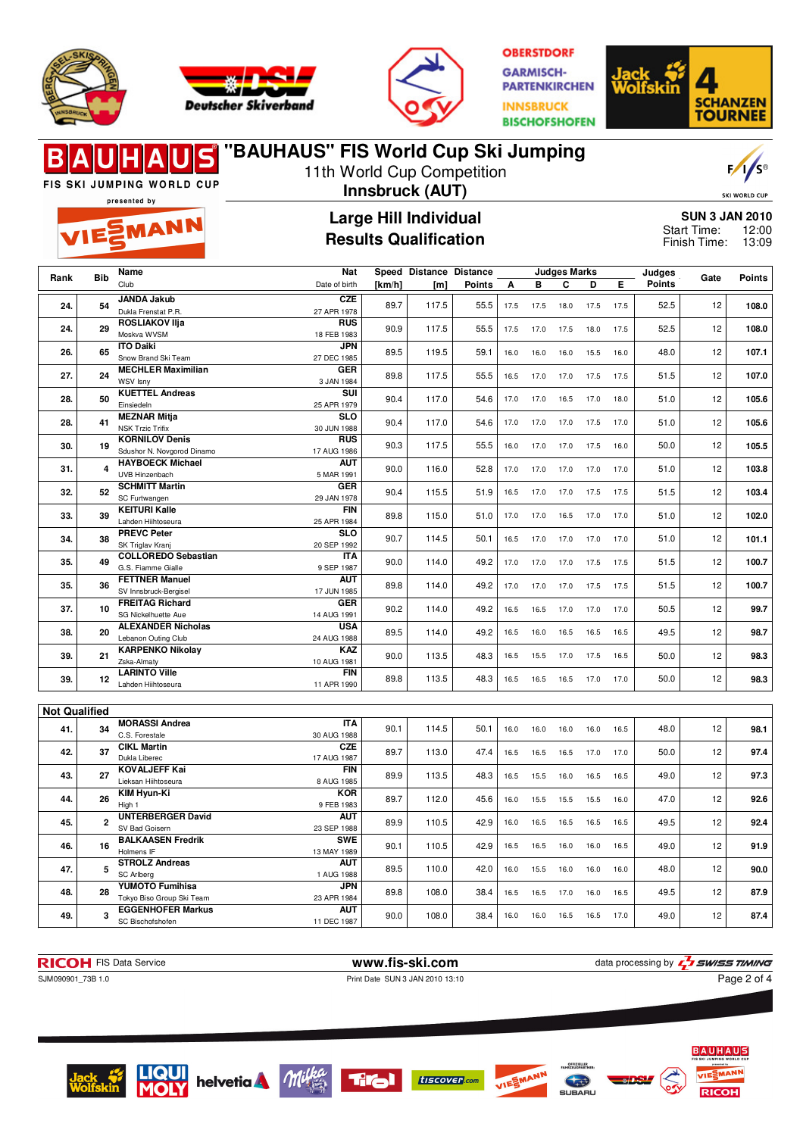





**"BAUHAUS" FIS World Cup Ski Jumping**

**OBERSTDORF GARMISCH-PARTENKIRCHEN INNSBRUCK BISCHOFSHOFEN** 



### $F/1/s^2$ 11th World Cup Competition **FIS SKI JUMPING WORLD CUP Innsbruck (AUT)** SKI WORLD CUR presented by **Large Hill Individual SUN 3 JAN 2010** EMANN Start Time: 12:00 **Results Qualification** Finish Time: 13:09 **Nat Judges Marks Rank Bib Name Judges Speed Distance Distance Points Gate Points** Club Date of birth **[km/h] [m] Points A B C D E 24. 54 JANDA Jakub CZE** 89.7 | 117.5 | 55.5 | 17.5 17.5 18.0 17.5 17.5 | 52.5 | 12 | **108.0** Dukla Frenstat P.R. 27 APR 1978 **24. 29 ROSLIAKOV Ilja RUS** 90.9 117.5 55.5 17.5 17.0 17.5 18.0 17.5 52.5 12 **108.0** Moskva WVSM 18 FEB 1983 **26. 65 ITO Daiki JPN** 89.5 119.5 59.1 16.0 16.0 16.0 15.5 16.0 48.0 12 **107.1** Snow Brand Ski Team 27 DEC 1985 **27. 24 MECHLER Maximilian GER** WSV Isny 89.8 117.5 55.5 16.5 17.0 17.0 17.5 17.5 51.5 12 **107.0** 3 JAN 1984 **28. 50 KUETTEL Andreas SUI** 90.4 117.0 54.6 17.0 17.0 16.5 17.0 18.0 51.0 12 **105.6** Einsiedeln 25 APR 1979 **28. 41 MEZNAR Mitja SLO** 90.4 117.0 54.6 17.0 17.0 17.0 17.5 17.0 51.0 12 **105.6** NSK Trzic Trifix 30 JUN 1988 **30. 19 KORNILOV Denis RUS** 17 AUG 1986 90.3 117.5 55.5 16.0 17.0 17.0 17.5 16.0 50.0 <sup>12</sup> **105.5** Sdushor N. Novgorod Dinamo **31. 4 HAYBOECK Michael AUT** 90.0 116.0 52.8 17.0 17.0 17.0 17.0 17.0 51.0 12 **103.8** UVB Hinzenbach 5 MAR 1991 **32. 52 SCHMITT Martin GER** 90.4 115.5 51.9 16.5 17.0 17.0 17.5 17.5 51.5 12 **103.4** SC Furtwangen 29 JAN 1978 **FIN 33. 39 KEITURI Kalle** Lahden Hiihtoseura 89.8 115.0 51.0 17.0 17.0 16.5 17.0 17.0 51.0 12 **102.0** 25 APR 1984 **SLO 34. 38 PREVC Peter** SK Triglav Kranj 90.7 114.5 50.1 16.5 17.0 17.0 17.0 17.0 51.0 12 **101.1** 20 SEP 1992 **35. 49 COLLOREDO Sebastian ITA** 90.0 114.0 49.2 17.0 17.0 17.0 17.5 17.5 51.5 12 **100.7** G.S. Fiamme Gialle 9 SEP 1987 **35.** 36 **FETTNER** Manuel **AUT** 89.8 114.0 49.2 17.0 17.0 17.0 17.5 17.5 51.5 12 **100.7** SV Innsbruck-Bergise 17 JUN 1985 **37. 10 FREITAG Richard GER** 90.2 114.0 49.2 16.5 16.5 17.0 17.0 17.0 50.5 12 **99.7** SG Nickelhuette Aue 14 AUG 1991 **38. 20 ALEXANDER Nicholas USA** 24 AUG 1988 89.5 114.0 49.2 16.5 16.0 16.5 16.5 16.5 49.5 <sup>12</sup> **98.7** Lebanon Outing Club **39. 21 KARPENKO Nikolay KAZ** 10 AUG 1981 90.0 113.5 48.3 16.5 15.5 17.0 17.5 16.5 50.0 <sup>12</sup> **98.3** Zska-Almaty **39. 12 LARINTO Ville FIN** 89.8 113.5 48.3 16.5 16.5 16.5 17.0 17.0 50.0 12 **98.3** Lahden Hiihtoseura 11 APR 1990 **Not Qualified 41. 34 MORASSI Andrea ITA** 90.1 114.5 50.1 16.0 16.0 16.0 16.0 16.5 48.0 12 **98.1** C.S. Forestale 30 AUG 1988 **42. 37 CIKL Martin CZE** 89.7 113.0 47.4 16.5 16.5 16.5 17.0 17.0 50.0 12 **97.4** 17 AUG 1987 Dukla Liberec **43. 27 KOVALJEFF Kai FIN** 89.9 113.5 48.3 16.5 15.5 16.0 16.5 16.5 49.0 12 **97.3** Lieksan Hiihtoseura 8 AUG 1985 **44. 26 KIM Hyun-Ki KOR** 89.7 112.0 45.6 16.0 15.5 15.5 15.5 16.0 47.0 12 **92.6** 9 FEB 1983 High 1 **45. 2 UNTERBERGER David AUT** 23 SEP 1988 89.9 110.5 42.9 16.0 16.5 16.5 16.5 16.5 **49.5** 12 **92.4** SV Bad Goiser **46. 16 BALKAASEN Fredrik SWE** 90.1 110.5 42.9 16.5 16.5 16.0 16.0 16.5 49.0 12 **91.9** Holmens IF 13 MAY 1989 **47. 5 STROLZ Andreas AUT**<br>1 AUG 1988 1 AUG 1988 89.5 110.0 42.0 16.0 15.5 16.0 16.0 16.0 48.0 <sup>12</sup> **90.0** SC Arlberg **48. 28 YUMOTO Fumihisa JPN** 89.8 108.0 38.4 16.5 16.5 17.0 16.0 16.5 49.5 12 **87.9** Tokyo Biso Group Ski Team 23 APR 1984 **49. 3 EGGENHOFER Markus AUT** 90.0 108.0 38.4 16.0 16.0 16.5 16.5 17.0 49.0 12 **87.4** SC Bischofshofen 11 DEC 1987

**RICOH** FIS Data Service **www.fis-ski.com www.fis-ski.com** data processing by  $\frac{7}{2}$  SWISS TIMING

SJM090901\_73B 1.0 **Print Date SUN 3 JAN 2010 13:10** 

Page 2 of 4













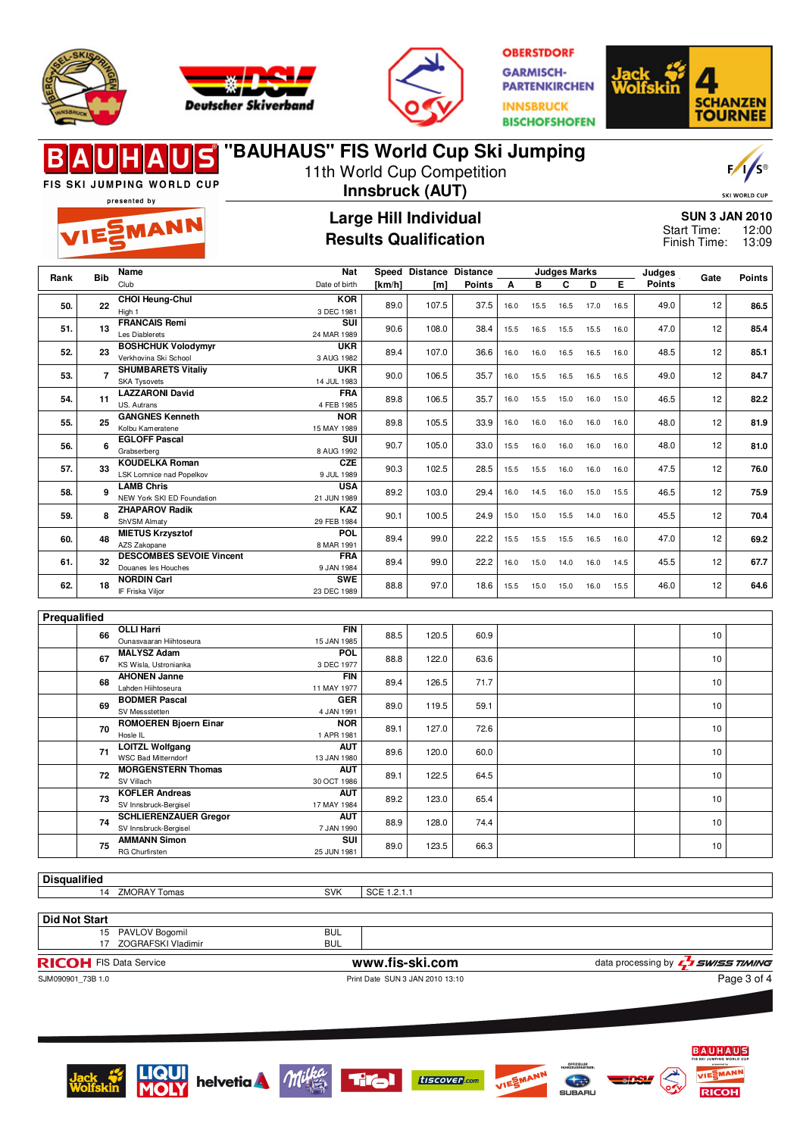





**OBERSTDORF GARMISCH-***PARTENKIRCHEN* **INNSBRUCK BISCHOFSHOFEN** 



### **"BAUHAUS" FIS World Cup Ski Jumping** 11th World Cup Competition

FIS SKI JUMPING WORLD CUP presented by

**EMANN** 

## **Innsbruck (AUT)**

**Large Hill Individual**



**SKI WORLD CUR SUN 3 JAN 2010** 0

**Results Qualification Nat Speed Distance Distance**

| <b>SUN 3 JAN 2010</b> |       |
|-----------------------|-------|
| Start Time:           | 12:00 |
| Finish Time:          | 13:09 |
|                       |       |

| Rank | <b>Bib</b> | Name                            | Nat           | Speed Distance Distance |       | <b>Judges Marks</b> |      |      |      |      | Judges | Gate          | <b>Points</b> |      |  |
|------|------------|---------------------------------|---------------|-------------------------|-------|---------------------|------|------|------|------|--------|---------------|---------------|------|--|
|      |            | Club                            | Date of birth | [km/h]                  | [m]   | <b>Points</b>       | A    | в    | C    | D    | Е      | <b>Points</b> |               |      |  |
|      | 22         | <b>CHOI Heung-Chul</b>          | <b>KOR</b>    |                         |       | 37.5                | 16.0 |      | 16.5 |      |        |               |               |      |  |
| 50.  |            | High 1                          | 3 DEC 1981    | 89.0                    | 107.5 |                     |      | 15.5 |      | 17.0 | 16.5   | 49.0          | 12            | 86.5 |  |
| 51.  | 13         | <b>FRANCAIS Remi</b>            | SUI           | 90.6                    | 108.0 | 38.4                | 15.5 | 16.5 | 15.5 | 15.5 | 16.0   | 47.0          | 12            | 85.4 |  |
|      |            | Les Diablerets                  | 24 MAR 1989   |                         |       |                     |      |      |      |      |        |               |               |      |  |
| 52.  | 23         | <b>BOSHCHUK Volodymyr</b>       | <b>UKR</b>    | 89.4                    | 107.0 | 36.6                | 16.0 | 16.0 | 16.5 | 16.5 | 16.0   | 48.5          | 12            | 85.1 |  |
|      |            | Verkhovina Ski School           | 3 AUG 1982    |                         |       |                     |      |      |      |      |        |               |               |      |  |
| 53.  |            | <b>SHUMBARETS Vitaliv</b>       | <b>UKR</b>    | 90.0                    | 106.5 | 35.7                | 16.0 | 15.5 | 16.5 | 16.5 | 16.5   | 49.0          | 12            | 84.7 |  |
|      |            | <b>SKA Tysovets</b>             | 14 JUL 1983   |                         |       |                     |      |      |      |      |        |               |               |      |  |
| 54.  | 11         | <b>LAZZARONI David</b>          | <b>FRA</b>    | 89.8                    | 106.5 |                     | 16.0 | 15.5 | 15.0 | 16.0 | 15.0   | 46.5          | 12            | 82.2 |  |
|      |            | US. Autrans                     | 4 FEB 1985    |                         |       | 35.7                |      |      |      |      |        |               |               |      |  |
| 55.  | 25         | <b>GANGNES Kenneth</b>          | <b>NOR</b>    | 89.8                    | 105.5 | 33.9                | 16.0 | 16.0 | 16.0 | 16.0 | 16.0   | 48.0          | 12            | 81.9 |  |
|      |            | Kolbu Kameratene                | 15 MAY 1989   |                         |       |                     |      |      |      |      |        |               |               |      |  |
| 56.  | 6          | <b>EGLOFF Pascal</b>            | <b>SUI</b>    | 90.7                    | 105.0 | 33.0                | 15.5 | 16.0 | 16.0 | 16.0 | 16.0   | 48.0          | 12            | 81.0 |  |
|      |            | Grabserberg                     | 8 AUG 1992    |                         |       |                     |      |      |      |      |        |               |               |      |  |
| 57.  | 33         | <b>KOUDELKA Roman</b>           | <b>CZE</b>    | 90.3                    | 102.5 | 28.5                | 15.5 | 15.5 | 16.0 | 16.0 | 16.0   | 47.5          | 12            | 76.0 |  |
|      |            | LSK Lomnice nad Popelkov        | 9 JUL 1989    |                         |       |                     |      |      |      |      |        |               |               |      |  |
| 58.  | g          | <b>LAMB Chris</b>               | <b>USA</b>    | 89.2                    | 103.0 | 29.4                | 16.0 | 14.5 | 16.0 | 15.0 | 15.5   | 46.5          | 12            | 75.9 |  |
|      |            | NEW York SKI ED Foundation      | 21 JUN 1989   |                         |       |                     |      |      |      |      |        |               |               |      |  |
| 59.  | 8          | <b>ZHAPAROV Radik</b>           | <b>KAZ</b>    | 90.1                    | 100.5 | 24.9                | 15.0 | 15.0 | 15.5 | 14.0 | 16.0   | 45.5          | 12            | 70.4 |  |
|      |            | ShVSM Almaty                    | 29 FEB 1984   |                         |       |                     |      |      |      |      |        |               |               |      |  |
| 60.  | 48         | <b>MIETUS Krzysztof</b>         | <b>POL</b>    | 89.4                    | 99.0  | 22.2                | 15.5 | 15.5 | 15.5 | 16.5 | 16.0   | 47.0          | 12            | 69.2 |  |
|      |            | AZS Zakopane                    | 8 MAR 1991    |                         |       |                     |      |      |      |      |        |               |               |      |  |
| 61.  | 32         | <b>DESCOMBES SEVOIE Vincent</b> | <b>FRA</b>    | 89.4                    | 99.0  | 22.2                | 16.0 | 15.0 | 14.0 | 16.0 | 14.5   | 45.5          | 12            | 67.7 |  |
|      |            | Douanes les Houches             | 9 JAN 1984    |                         |       |                     |      |      |      |      |        |               |               |      |  |
| 62.  | 18         | <b>NORDIN Carl</b>              | <b>SWE</b>    | 88.8                    | 97.0  | 18.6                | 15.5 | 15.0 | 15.0 | 16.0 | 15.5   | 46.0          | 12            | 64.6 |  |
|      |            | IF Friska Viljor                | 23 DEC 1989   |                         |       |                     |      |      |      |      |        |               |               |      |  |

| Prequalified |    |                                           |             |      |       |      |      |    |  |
|--------------|----|-------------------------------------------|-------------|------|-------|------|------|----|--|
|              | 66 | <b>OLLI Harri</b>                         | <b>FIN</b>  | 88.5 | 120.5 | 60.9 |      | 10 |  |
|              |    | Ounasvaaran Hiihtoseura                   | 15 JAN 1985 |      |       |      |      |    |  |
|              | 67 | <b>MALYSZ Adam</b>                        | <b>POL</b>  | 88.8 | 122.0 | 63.6 |      | 10 |  |
|              |    | KS Wisla, Ustronianka                     | 3 DEC 1977  |      |       |      |      |    |  |
|              | 68 | <b>AHONEN Janne</b>                       | <b>FIN</b>  | 89.4 | 126.5 | 71.7 |      | 10 |  |
|              |    | Lahden Hiihtoseura                        | 11 MAY 1977 |      |       |      |      |    |  |
|              | 69 | <b>BODMER Pascal</b>                      | <b>GER</b>  | 89.0 | 119.5 | 59.1 |      | 10 |  |
|              |    | SV Messstetten                            | 4 JAN 1991  |      |       |      |      |    |  |
|              | 70 | <b>ROMOEREN Bjoern Einar</b>              | <b>NOR</b>  | 89.1 | 127.0 | 72.6 |      | 10 |  |
|              |    | Hosle IL                                  | 1 APR 1981  |      |       |      |      |    |  |
|              | 71 | <b>LOITZL Wolfgang</b>                    | <b>AUT</b>  | 89.6 | 120.0 | 60.0 |      | 10 |  |
|              |    | <b>WSC Bad Mitterndorf</b><br>13 JAN 1980 |             |      |       |      |      |    |  |
|              | 72 | <b>MORGENSTERN Thomas</b>                 | <b>AUT</b>  | 89.1 | 122.5 | 64.5 |      | 10 |  |
|              |    | SV Villach                                | 30 OCT 1986 |      |       |      |      |    |  |
|              | 73 | <b>KOFLER Andreas</b>                     | <b>AUT</b>  | 89.2 | 123.0 |      | 65.4 | 10 |  |
|              |    | SV Innsbruck-Bergisel                     | 17 MAY 1984 |      |       |      |      |    |  |
|              | 74 | <b>SCHLIERENZAUER Gregor</b>              | <b>AUT</b>  | 88.9 | 128.0 | 74.4 |      | 10 |  |
|              |    | SV Innsbruck-Bergisel<br>7 JAN 1990       |             |      |       |      |      |    |  |
|              |    | <b>AMMANN Simon</b>                       | <b>SUI</b>  | 89.0 | 123.5 |      |      | 10 |  |
|              | 75 | <b>RG Churfirsten</b>                     | 25 JUN 1981 |      |       | 66.3 |      |    |  |

**Disqualified**

14 ZMORAY Tomas SVK SCE 1.2.1.1

**Did Not Start** 17 ZOGRAFSKI Vladimir

15 PAVLOV Bogomil BUL<br>17 ZOGRAFSKI Vladimir BUL<br>BUL **RICOH** FIS Data Service **www.fis-ski.com** data processing by **q**<br>
SJM090901\_73B 1.0 Print Date SUN 3 JAN 2010 13:10 *SWISS TIMING* 

Print Date SUN 3 JAN 2010 13:10

Page 3 of 4